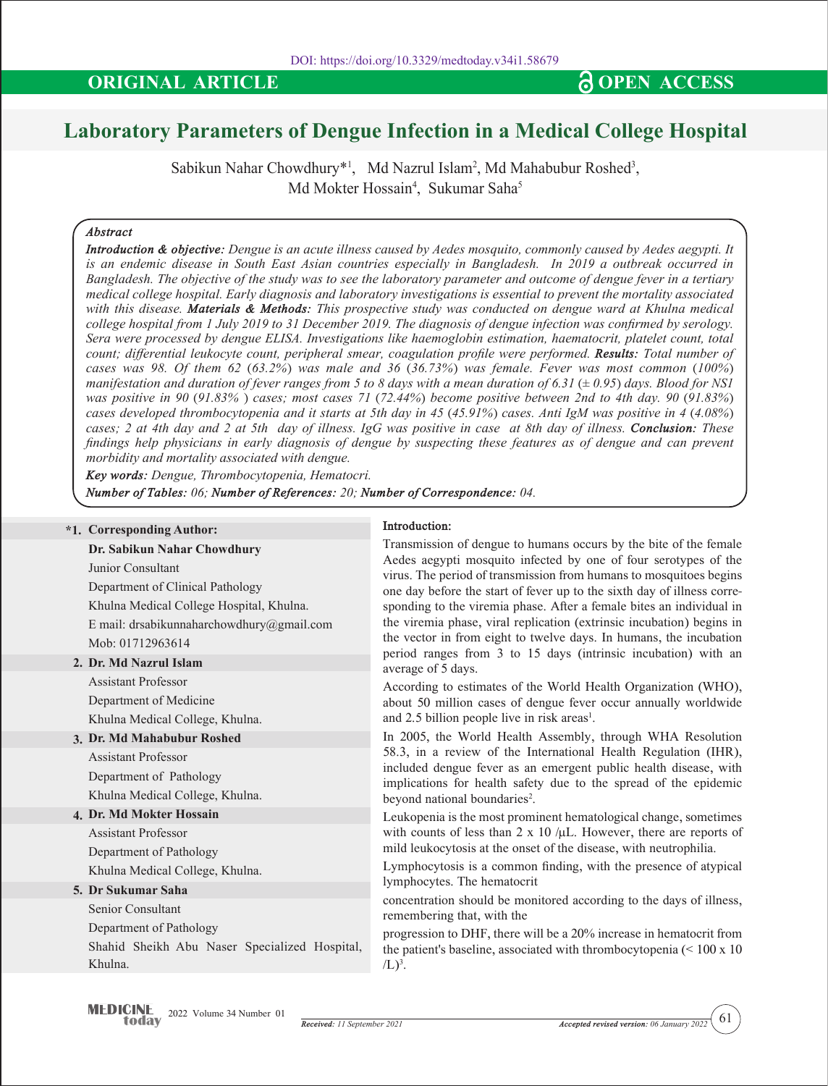# **ORIGINAL ARTICLE CONSERVANT OPEN ACCESS**

# **Laboratory Parameters of Dengue Infection in a Medical College Hospital**

Sabikun Nahar Chowdhury\*<sup>1</sup>, Md Nazrul Islam<sup>2</sup>, Md Mahabubur Roshed<sup>3</sup>, Md Mokter Hossain<sup>4</sup>, Sukumar Saha<sup>5</sup>

# *Abstract*

*Introduction & objective: Dengue is an acute illness caused by Aedes mosquito, commonly caused by Aedes aegypti. It is an endemic disease in South East Asian countries especially in Bangladesh. In 2019 a outbreak occurred in Bangladesh. The objective of the study was to see the laboratory parameter and outcome of dengue fever in a tertiary medical college hospital. Early diagnosis and laboratory investigations is essential to prevent the mortality associated with this disease. Materials & Methods: This prospective study was conducted on dengue ward at Khulna medical college hospital from 1 July 2019 to 31 December 2019. The diagnosis of dengue infection was confirmed by serology. Sera were processed by dengue ELISA. Investigations like haemoglobin estimation, haematocrit, platelet count, total count; differential leukocyte count, peripheral smear, coagulation profile were performed. Results: Total number of cases was 98. Of them 62 (63.2%) was male and 36 (36.73%) was female. Fever was most common (100%) manifestation and duration of fever ranges from 5 to 8 days with a mean duration of 6.31 (± 0.95) days. Blood for NS1 was positive in 90 (91.83% ) cases; most cases 71 (72.44%) become positive between 2nd to 4th day. 90 (91.83%) cases developed thrombocytopenia and it starts at 5th day in 45 (45.91%) cases. Anti IgM was positive in 4 (4.08%) cases; 2 at 4th day and 2 at 5th day of illness. IgG was positive in case at 8th day of illness. Conclusion: These findings help physicians in early diagnosis of dengue by suspecting these features as of dengue and can prevent morbidity and mortality associated with dengue.*

*Key words: Dengue, Thrombocytopenia, Hematocri.*

*Number of Tables: 06; Number of References: 20; Number of Correspondence: 04.*

#### **\*1. Corresponding Author:**

**Dr. Sabikun Nahar Chowdhury** Junior Consultant

Department of Clinical Pathology Khulna Medical College Hospital, Khulna. E mail: drsabikunnaharchowdhury@gmail.com Mob: 01712963614

# **2. Dr. Md Nazrul Islam**

Assistant Professor Department of Medicine Khulna Medical College, Khulna.

# **3. Dr. Md Mahabubur Roshed**

Assistant Professor Department of Pathology Khulna Medical College, Khulna.

# **4. Dr. Md Mokter Hossain**

Assistant Professor Department of Pathology Khulna Medical College, Khulna.

#### **5. Dr Sukumar Saha**

Senior Consultant

Department of Pathology

Shahid Sheikh Abu Naser Specialized Hospital, Khulna.

#### **Introduction:**

Transmission of dengue to humans occurs by the bite of the female Aedes aegypti mosquito infected by one of four serotypes of the virus. The period of transmission from humans to mosquitoes begins one day before the start of fever up to the sixth day of illness corresponding to the viremia phase. After a female bites an individual in the viremia phase, viral replication (extrinsic incubation) begins in the vector in from eight to twelve days. In humans, the incubation period ranges from 3 to 15 days (intrinsic incubation) with an average of 5 days.

According to estimates of the World Health Organization (WHO), about 50 million cases of dengue fever occur annually worldwide and 2.5 billion people live in risk areas<sup>1</sup>.

In 2005, the World Health Assembly, through WHA Resolution 58.3, in a review of the International Health Regulation (IHR), included dengue fever as an emergent public health disease, with implications for health safety due to the spread of the epidemic beyond national boundaries<sup>2</sup>.

Leukopenia is the most prominent hematological change, sometimes with counts of less than  $2 \times 10$  / $\mu$ L. However, there are reports of mild leukocytosis at the onset of the disease, with neutrophilia.

Lymphocytosis is a common finding, with the presence of atypical lymphocytes. The hematocrit

concentration should be monitored according to the days of illness, remembering that, with the

progression to DHF, there will be a 20% increase in hematocrit from the patient's baseline, associated with thrombocytopenia (< 100 x 10  $/L)^3$ .

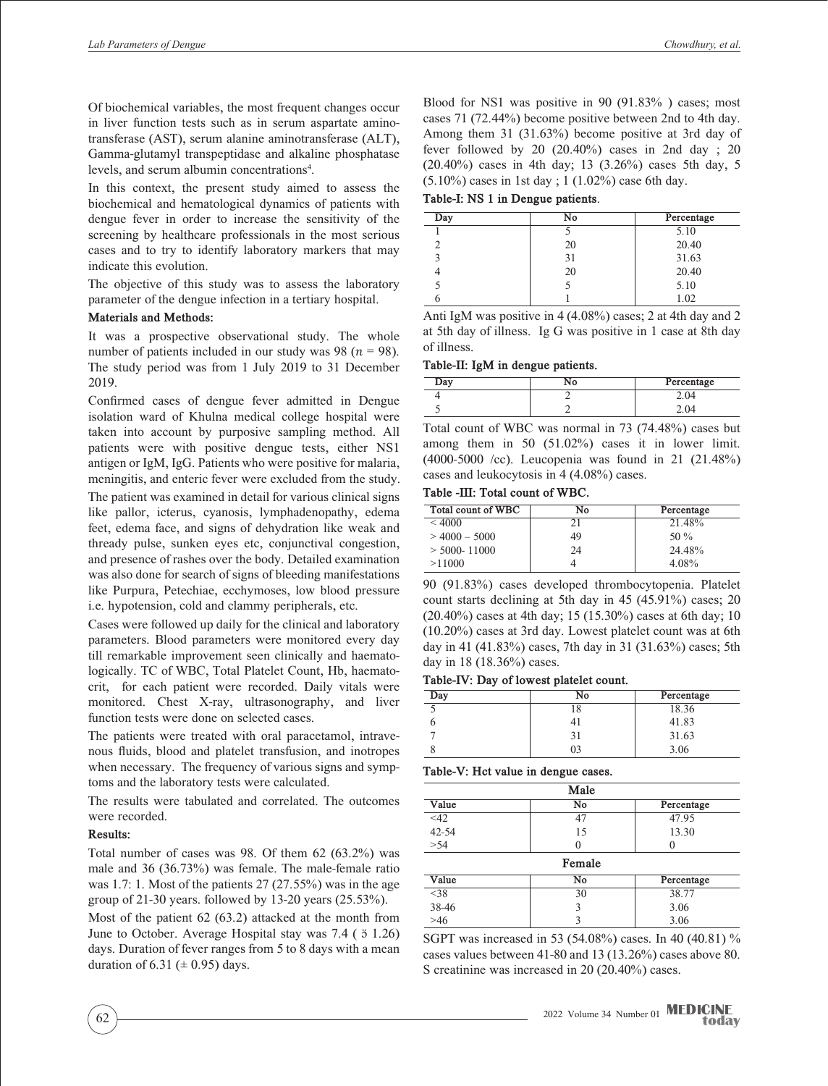Of biochemical variables, the most frequent changes occur in liver function tests such as in serum aspartate aminotransferase (AST), serum alanine aminotransferase (ALT), Gamma-glutamyl transpeptidase and alkaline phosphatase levels, and serum albumin concentrations<sup>4</sup>.

In this context, the present study aimed to assess the biochemical and hematological dynamics of patients with dengue fever in order to increase the sensitivity of the screening by healthcare professionals in the most serious cases and to try to identify laboratory markers that may indicate this evolution.

The objective of this study was to assess the laboratory parameter of the dengue infection in a tertiary hospital.

#### **Materials and Methods:**

It was a prospective observational study. The whole number of patients included in our study was 98 ( $n = 98$ ). The study period was from 1 July 2019 to 31 December 2019.

Confirmed cases of dengue fever admitted in Dengue isolation ward of Khulna medical college hospital were taken into account by purposive sampling method. All patients were with positive dengue tests, either NS1 antigen or IgM, IgG. Patients who were positive for malaria, meningitis, and enteric fever were excluded from the study.

The patient was examined in detail for various clinical signs like pallor, icterus, cyanosis, lymphadenopathy, edema feet, edema face, and signs of dehydration like weak and thready pulse, sunken eyes etc, conjunctival congestion, and presence of rashes over the body. Detailed examination was also done for search of signs of bleeding manifestations like Purpura, Petechiae, ecchymoses, low blood pressure i.e. hypotension, cold and clammy peripherals, etc.

Cases were followed up daily for the clinical and laboratory parameters. Blood parameters were monitored every day till remarkable improvement seen clinically and haematologically. TC of WBC, Total Platelet Count, Hb, haematocrit, for each patient were recorded. Daily vitals were monitored. Chest X-ray, ultrasonography, and liver function tests were done on selected cases.

The patients were treated with oral paracetamol, intravenous fluids, blood and platelet transfusion, and inotropes when necessary. The frequency of various signs and symptoms and the laboratory tests were calculated.

The results were tabulated and correlated. The outcomes were recorded.

#### **Results:**

Total number of cases was 98. Of them 62 (63.2%) was male and 36 (36.73%) was female. The male-female ratio was 1.7: 1. Most of the patients 27 (27.55%) was in the age group of 21-30 years. followed by 13-20 years (25.53%).

Most of the patient 62 (63.2) attacked at the month from June to October. Average Hospital stay was  $7.4$  ( $5$  1.26) days. Duration of fever ranges from 5 to 8 days with a mean duration of 6.31 ( $\pm$  0.95) days.

Blood for NS1 was positive in 90 (91.83% ) cases; most cases 71 (72.44%) become positive between 2nd to 4th day. Among them 31 (31.63%) become positive at 3rd day of fever followed by 20 (20.40%) cases in 2nd day ; 20 (20.40%) cases in 4th day; 13 (3.26%) cases 5th day, 5 (5.10%) cases in 1st day ; 1 (1.02%) case 6th day.

**Table-I: NS 1 in Dengue patients**.

| Day | No | Percentage |
|-----|----|------------|
|     |    | 5.10       |
|     | 20 | 20.40      |
|     | 31 | 31.63      |
|     | 20 | 20.40      |
|     |    | 5.10       |
|     |    | 1.02       |

Anti IgM was positive in 4 (4.08%) cases; 2 at 4th day and 2 at 5th day of illness. Ig G was positive in 1 case at 8th day of illness.

#### **Table-II: IgM in dengue patients.**

| Dav | Percentage |
|-----|------------|
|     |            |
|     |            |

Total count of WBC was normal in 73 (74.48%) cases but among them in 50 (51.02%) cases it in lower limit. (4000-5000 /cc). Leucopenia was found in 21 (21.48%) cases and leukocytosis in 4 (4.08%) cases.

### **Table -III: Total count of WBC.**

| Total count of WBC | No | Percentage |
|--------------------|----|------------|
| < 4000             | 21 | 21.48%     |
| $>$ 4000 - 5000    | 49 | 50 $\%$    |
| $>$ 5000- 11000    | 24 | 24.48%     |
| >11000             |    | 4.08%      |

90 (91.83%) cases developed thrombocytopenia. Platelet count starts declining at 5th day in 45 (45.91%) cases; 20 (20.40%) cases at 4th day; 15 (15.30%) cases at 6th day; 10 (10.20%) cases at 3rd day. Lowest platelet count was at 6th day in 41 (41.83%) cases, 7th day in 31 (31.63%) cases; 5th day in 18 (18.36%) cases.

#### **Table-IV: Day of lowest platelet count.**

| Day | No | Percentage |
|-----|----|------------|
|     | 18 | 18.36      |
|     |    | 41.83      |
|     |    | 31.63      |
|     | 03 | 3.06       |

#### **Table-V: Hct value in dengue cases.**

| Male      |    |                  |
|-----------|----|------------------|
| Value     | No | Percentage       |
| <42       | 47 | 47.95            |
| $42 - 54$ | 15 | 13.30            |
| > 54      | 0  | $\left( \right)$ |
| Female    |    |                  |
| Value     | No | Percentage       |
| $<$ 38    | 30 | 38.77            |
| 38-46     | 3  | 3.06             |
| >46       | 3  | 3.06             |

SGPT was increased in 53 (54.08%) cases. In 40 (40.81) % cases values between 41-80 and 13 (13.26%) cases above 80. S creatinine was increased in 20 (20.40%) cases.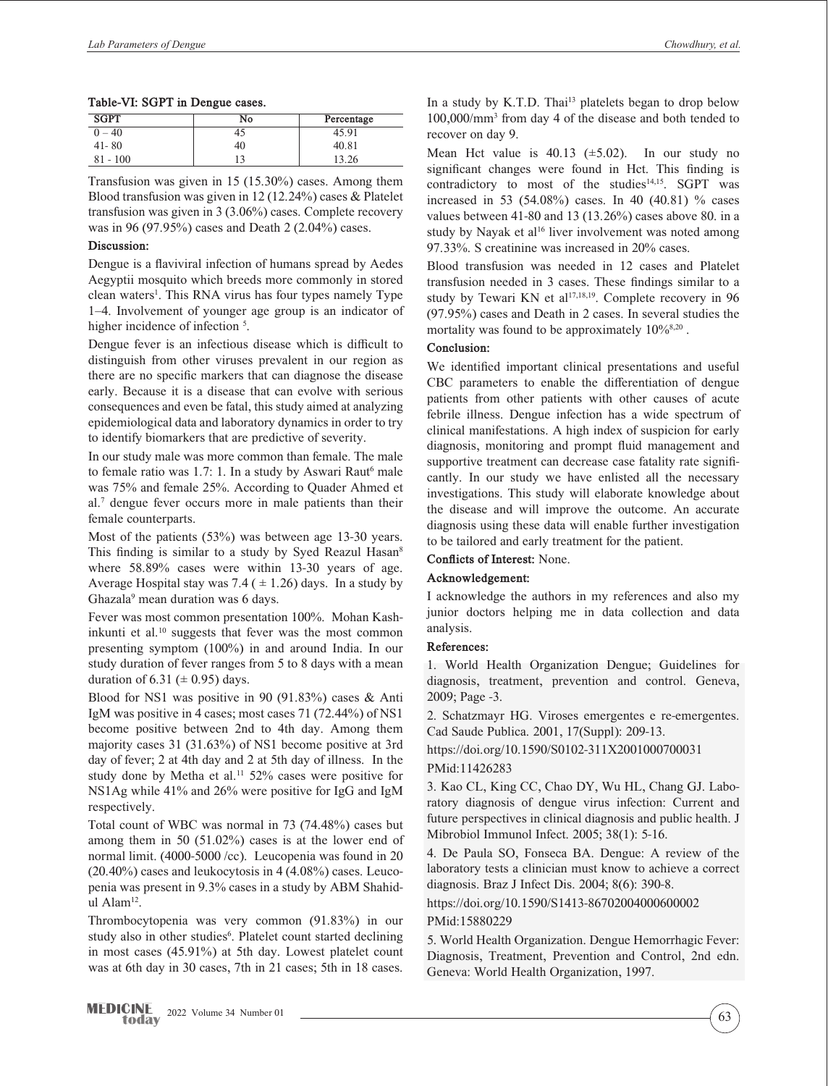#### **Table-VI: SGPT in Dengue cases.**

| <b>SGPT</b> | No  | Percentage |
|-------------|-----|------------|
| $-40$       | 40  | 45.91      |
| $41 - 80$   | 40  | 40.81      |
| $-100$      | 1 ว | 13.26      |

Transfusion was given in 15 (15.30%) cases. Among them Blood transfusion was given in 12 (12.24%) cases & Platelet transfusion was given in 3 (3.06%) cases. Complete recovery was in 96 (97.95%) cases and Death 2 (2.04%) cases.

## **Discussion:**

Dengue is a flaviviral infection of humans spread by Aedes Aegyptii mosquito which breeds more commonly in stored clean waters<sup>1</sup>. This RNA virus has four types namely Type 1–4. Involvement of younger age group is an indicator of higher incidence of infection <sup>5</sup>.

Dengue fever is an infectious disease which is difficult to distinguish from other viruses prevalent in our region as there are no specific markers that can diagnose the disease early. Because it is a disease that can evolve with serious consequences and even be fatal, this study aimed at analyzing epidemiological data and laboratory dynamics in order to try to identify biomarkers that are predictive of severity.

In our study male was more common than female. The male to female ratio was 1.7: 1. In a study by Aswari Raut<sup>6</sup> male was 75% and female 25%. According to Quader Ahmed et al.7 dengue fever occurs more in male patients than their female counterparts.

Most of the patients (53%) was between age 13-30 years. This finding is similar to a study by Syed Reazul Hasan<sup>8</sup> where 58.89% cases were within 13-30 years of age. Average Hospital stay was 7.4 ( $\pm$  1.26) days. In a study by Ghazala<sup>9</sup> mean duration was 6 days.

Fever was most common presentation 100%. Mohan Kashinkunti et al.<sup>10</sup> suggests that fever was the most common presenting symptom (100%) in and around India. In our study duration of fever ranges from 5 to 8 days with a mean duration of 6.31 ( $\pm$  0.95) days.

Blood for NS1 was positive in 90 (91.83%) cases & Anti IgM was positive in 4 cases; most cases 71 (72.44%) of NS1 become positive between 2nd to 4th day. Among them majority cases 31 (31.63%) of NS1 become positive at 3rd day of fever; 2 at 4th day and 2 at 5th day of illness. In the study done by Metha et al.<sup>11</sup> 52% cases were positive for NS1Ag while 41% and 26% were positive for IgG and IgM respectively.

Total count of WBC was normal in 73 (74.48%) cases but among them in 50 (51.02%) cases is at the lower end of normal limit. (4000-5000 /cc). Leucopenia was found in 20 (20.40%) cases and leukocytosis in 4 (4.08%) cases. Leucopenia was present in 9.3% cases in a study by ABM Shahidul Alam12.

Thrombocytopenia was very common (91.83%) in our study also in other studies<sup>6</sup>. Platelet count started declining in most cases (45.91%) at 5th day. Lowest platelet count was at 6th day in 30 cases, 7th in 21 cases; 5th in 18 cases.

In a study by  $K.T.D.$  Thai<sup>13</sup> platelets began to drop below 100,000/mm3 from day 4 of the disease and both tended to recover on day 9.

Mean Hct value is  $40.13$  ( $\pm$ 5.02). In our study no significant changes were found in Hct. This finding is contradictory to most of the studies<sup>14,15</sup>. SGPT was increased in 53 (54.08%) cases. In 40 (40.81) % cases values between 41-80 and 13 (13.26%) cases above 80. in a study by Nayak et al<sup>16</sup> liver involvement was noted among 97.33%. S creatinine was increased in 20% cases.

Blood transfusion was needed in 12 cases and Platelet transfusion needed in 3 cases. These findings similar to a study by Tewari KN et al<sup>17,18,19</sup>. Complete recovery in  $96$ (97.95%) cases and Death in 2 cases. In several studies the mortality was found to be approximately  $10\%^{8,20}$ .

## **Conclusion:**

We identified important clinical presentations and useful CBC parameters to enable the differentiation of dengue patients from other patients with other causes of acute febrile illness. Dengue infection has a wide spectrum of clinical manifestations. A high index of suspicion for early diagnosis, monitoring and prompt fluid management and supportive treatment can decrease case fatality rate significantly. In our study we have enlisted all the necessary investigations. This study will elaborate knowledge about the disease and will improve the outcome. An accurate diagnosis using these data will enable further investigation to be tailored and early treatment for the patient.

#### **Conflicts of Interest:** None.

# **Acknowledgement:**

I acknowledge the authors in my references and also my junior doctors helping me in data collection and data analysis.

#### **References:**

1. World Health Organization Dengue; Guidelines for diagnosis, treatment, prevention and control. Geneva, 2009; Page -3.

2. Schatzmayr HG. Viroses emergentes e re-emergentes. Cad Saude Publica. 2001, 17(Suppl): 209-13.

https://doi.org/10.1590/S0102-311X2001000700031 PMid:11426283

3. Kao CL, King CC, Chao DY, Wu HL, Chang GJ. Laboratory diagnosis of dengue virus infection: Current and future perspectives in clinical diagnosis and public health. J Mibrobiol Immunol Infect. 2005; 38(1): 5-16.

4. De Paula SO, Fonseca BA. Dengue: A review of the laboratory tests a clinician must know to achieve a correct diagnosis. Braz J Infect Dis. 2004; 8(6): 390-8.

https://doi.org/10.1590/S1413-86702004000600002 PMid:15880229

5. World Health Organization. Dengue Hemorrhagic Fever: Diagnosis, Treatment, Prevention and Control, 2nd edn. Geneva: World Health Organization, 1997.